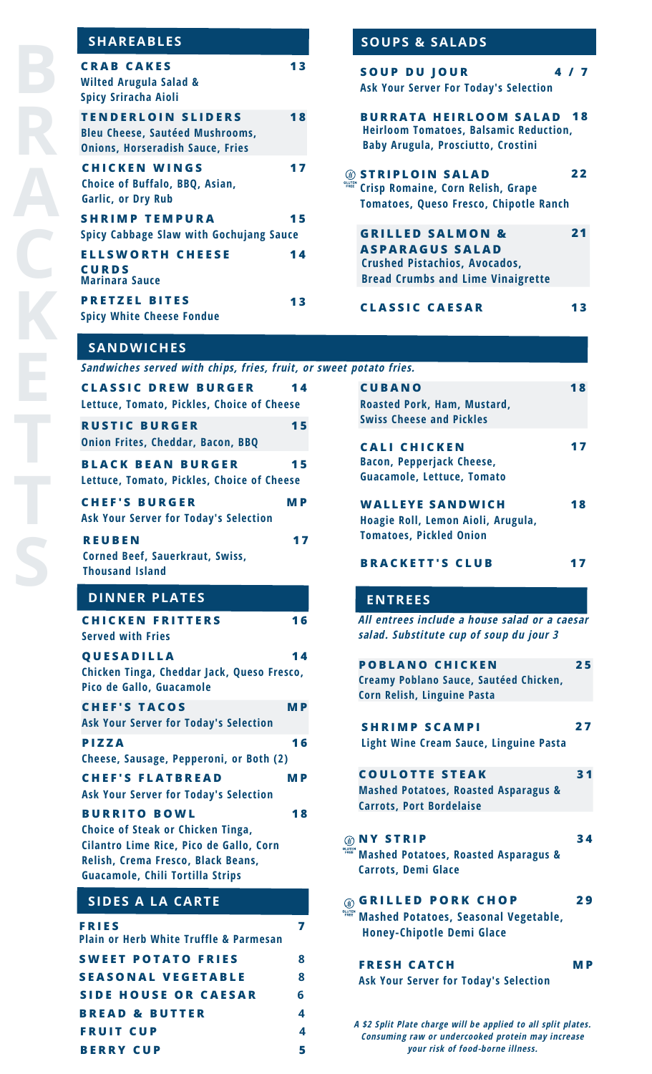# **SHAREABLES SOUPS & SALADS**

| <b>CRAB CAKES</b><br><b>Wilted Arugula Salad &amp;</b><br><b>Spicy Sriracha Aioli</b>                          | 13 |
|----------------------------------------------------------------------------------------------------------------|----|
| <b>TENDERLOIN SLIDERS</b><br><b>Bleu Cheese, Sautéed Mushrooms,</b><br><b>Onions, Horseradish Sauce, Fries</b> | 18 |
| <b>CHICKEN WINGS</b><br>Choice of Buffalo, BBQ, Asian,<br><b>Garlic, or Dry Rub</b>                            | 17 |
| <b>SHRIMP TEMPURA</b>                                                                                          | 15 |
| <b>Spicy Cabbage Slaw with Gochujang Sauce</b>                                                                 |    |
| <b>ELLSWORTH CHEESE</b><br><b>CURDS</b><br><b>Marinara Sauce</b>                                               | 14 |
| <b>PRETZEL BITES</b><br><b>Spicy White Cheese Fondue</b>                                                       | 13 |

| SUUFS & SALADS                                                                                                                            |    |  |
|-------------------------------------------------------------------------------------------------------------------------------------------|----|--|
| <b>SOUP DU JOUR</b><br>4/7<br><b>Ask Your Server For Today's Selection</b>                                                                |    |  |
| <b>BURRATA HEIRLOOM SALAD 18</b><br><b>Heirloom Tomatoes, Balsamic Reduction,</b><br><b>Baby Arugula, Prosciutto, Crostini</b>            |    |  |
| <b>STRIPLOIN SALAD</b><br>Crisp Romaine, Corn Relish, Grape<br><b>Tomatoes, Queso Fresco, Chipotle Ranch</b>                              | 22 |  |
| <b>GRILLED SALMON &amp;</b><br><b>ASPARAGUS SALAD</b><br><b>Crushed Pistachios, Avocados,</b><br><b>Bread Crumbs and Lime Vinaigrette</b> | 21 |  |
| <b>CLASSIC CAESAR</b>                                                                                                                     |    |  |

# **SANDWICHES**

| FRIES<br><b>Plain or Herb White Truffle &amp; Parmesan</b>                                                        | 7         | <b>Mashed Potat</b><br><b>Honey-Chipot</b>                                                       |
|-------------------------------------------------------------------------------------------------------------------|-----------|--------------------------------------------------------------------------------------------------|
| <b>SIDES A LA CARTE</b>                                                                                           |           | <b>GRILLED</b><br>$\circledast$<br><b>GLUTEN</b><br>FREE                                         |
| Cilantro Lime Rice, Pico de Gallo, Corn<br>Relish, Crema Fresco, Black Beans,<br>Guacamole, Chili Tortilla Strips |           | <b><b>ONY STRIP</b></b><br><b>GLUTEN</b><br>FREE<br><b>Mashed Potato</b><br><b>Carrots, Demi</b> |
| <b>BURRITO BOWL</b><br>Choice of Steak or Chicken Tinga,                                                          | 18        | <b>Carrots, Port B</b>                                                                           |
| <b>CHEF'S FLATBREAD</b><br>Ask Your Server for Today's Selection                                                  | <b>MP</b> | <b>COULOTTE</b><br><b>Mashed Potato</b>                                                          |
| <b>PIZZA</b><br>Cheese, Sausage, Pepperoni, or Both (2)                                                           | 16        | Light Wine Cro                                                                                   |
| <b>CHEF'S TACOS</b><br><b>Ask Your Server for Today's Selection</b>                                               | <b>MP</b> | <b>SHRIMPS</b>                                                                                   |
| QUESADILLA<br>Chicken Tinga, Cheddar Jack, Queso Fresco,<br>Pico de Gallo, Guacamole                              | 14        | <b>POBLANO</b><br><b>Creamy Poblan</b><br>Corn Relish, Lir                                       |
| <b>CHICKEN FRITTERS</b><br><b>Served with Fries</b>                                                               | 16        | All entrees inc<br>salad. Substitu                                                               |
| <b>DINNER PLATES</b>                                                                                              |           | <b>ENTREES</b>                                                                                   |
| <b>REUBEN</b><br>Corned Beef, Sauerkraut, Swiss,<br><b>Thousand Island</b>                                        | 17        | <b>BRACKETT</b>                                                                                  |
| <b>Ask Your Server for Today's Selection</b>                                                                      |           | Hoagie Roll, Lo<br><b>Tomatoes, Pic</b>                                                          |
| Lettuce, Tomato, Pickles, Choice of Cheese<br><b>CHEF'S BURGER</b>                                                | <b>MP</b> | Guacamole, Le<br><b>WALLEYES</b>                                                                 |
| <b>Onion Frites, Cheddar, Bacon, BBQ</b><br><b>BLACK BEAN BURGER</b>                                              | 15        | <b>CALI CHIC</b><br><b>Bacon, Pepper</b>                                                         |
| <b>CLASSIC DREW BURGER</b><br>Lettuce, Tomato, Pickles, Choice of Cheese<br><b>RUSTIC BURGER</b>                  | 14<br>15  | <b>CUBANO</b><br><b>Roasted Pork,</b><br><b>Swiss Cheese</b>                                     |
| Sandwiches served with chips, fries, fruit, or sweet potato fries.                                                |           |                                                                                                  |

**S W E E T P O T A T O F R I E S 8 S E A S O N A L V E G E T A B L E 8 S I D E H O U S E O R C A E S A R 6 B R E A D & B U T T E R 4 F R U I T C U P 4**

**B E R R Y C U P 5**

| <b>CUBANO</b><br>Roasted Pork, Ham, Mustard,<br><b>Swiss Cheese and Pickles</b>                                                                        | 18  |
|--------------------------------------------------------------------------------------------------------------------------------------------------------|-----|
| <b>CALI CHICKEN</b><br><b>Bacon, Pepperjack Cheese,</b><br>Guacamole, Lettuce, Tomato                                                                  | 17  |
| <b>WALLEYE SANDWICH</b><br>Hoagie Roll, Lemon Aioli, Arugula,<br><b>Tomatoes, Pickled Onion</b>                                                        | 18  |
| <b>BRACKETT'S CLUB</b>                                                                                                                                 | 17  |
| <b>ENTREES</b>                                                                                                                                         |     |
| All entrees include a house salad or a caesar<br>salad. Substitute cup of soup du jour 3                                                               |     |
| <b>POBLANO CHICKEN</b><br>Creamy Poblano Sauce, Sautéed Chicken,<br>Corn Relish, Linguine Pasta                                                        | 25  |
| <b>SHRIMP SCAMPI</b><br><b>Light Wine Cream Sauce, Linguine Pasta</b>                                                                                  | 27  |
| <b>COULOTTE STEAK</b><br><b>Mashed Potatoes, Roasted Asparagus &amp;</b><br><b>Carrots, Port Bordelaise</b>                                            | 31  |
| <b>Y STRIP</b><br><b>Mashed Potatoes, Roasted Asparagus &amp;</b><br><b>Carrots, Demi Glace</b>                                                        | 34  |
| <b>GRILLED PORK CHOP</b><br><b>Mashed Potatoes, Seasonal Vegetable,</b><br><b>Honey-Chipotle Demi Glace</b>                                            | 29  |
| <b>FRESH CATCH</b><br><b>Ask Your Server for Today's Selection</b>                                                                                     | M P |
| A \$2 Split Plate charge will be applied to all split plates.<br>Consuming raw or undercooked protein may increase<br>your risk of food-borne illness. |     |